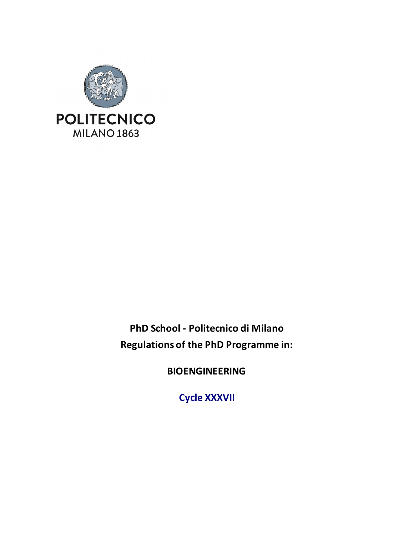

**PhD School - Politecnico di Milano Regulations of the PhD Programme in:**

**BIOENGINEERING**

**Cycle XXXVII**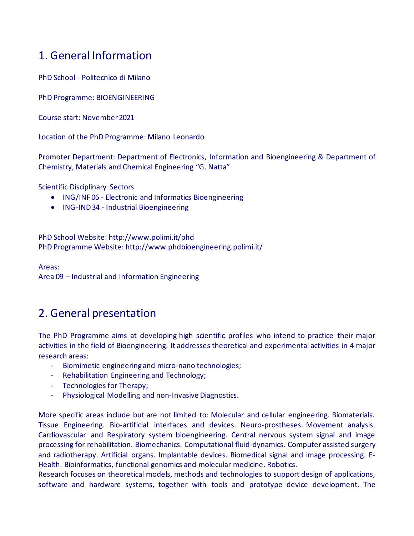# 1. General Information

PhD School - Politecnico di Milano

PhD Programme: BIOENGINEERING

Course start: November 2021

Location of the PhD Programme: Milano Leonardo

Promoter Department: Department of Electronics, Information and Bioengineering & Department of Chemistry, Materials and Chemical Engineering "G. Natta"

Scientific Disciplinary Sectors

- ING/INF 06 Electronic and Informatics Bioengineering
- ING-IND 34 Industrial Bioengineering

PhD School Website[: http://www.polimi.it/phd](http://www.polimi.it/phd) PhD Programme Website:<http://www.phdbioengineering.polimi.it/>

Areas: Area 09 – Industrial and Information Engineering

# 2. General presentation

The PhD Programme aims at developing high scientific profiles who intend to practice their major activities in the field of Bioengineering. It addresses theoretical and experimental activities in 4 major research areas:

- *-* Biomimetic engineering and micro-nano technologies;
- *-* Rehabilitation Engineering and Technology;
- *-* Technologies for Therapy;
- *-* Physiological Modelling and non-Invasive Diagnostics.

More specific areas include but are not limited to: Molecular and cellular engineering. Biomaterials. Tissue Engineering. Bio-artificial interfaces and devices. Neuro-prostheses. Movement analysis. Cardiovascular and Respiratory system bioengineering. Central nervous system signal and image processing for rehabilitation. Biomechanics. Computational fluid-dynamics. Computer assisted surgery and radiotherapy. Artificial organs. Implantable devices. Biomedical signal and image processing. E-Health. Bioinformatics, functional genomics and molecular medicine. Robotics.

Research focuses on theoretical models, methods and technologies to support design of applications, software and hardware systems, together with tools and prototype device development. The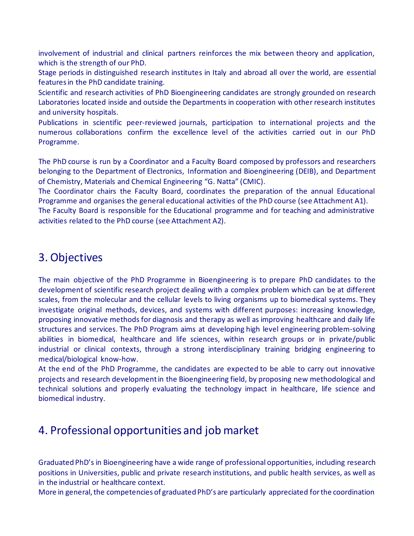involvement of industrial and clinical partners reinforces the mix between theory and application, which is the strength of our PhD.

Stage periods in distinguished research institutes in Italy and abroad all over the world, are essential features in the PhD candidate training.

Scientific and research activities of PhD Bioengineering candidates are strongly grounded on research Laboratories located inside and outside the Departments in cooperation with other research institutes and university hospitals.

Publications in scientific peer-reviewed journals, participation to international projects and the numerous collaborations confirm the excellence level of the activities carried out in our PhD Programme.

The PhD course is run by a Coordinator and a Faculty Board composed by professors and researchers belonging to the Department of Electronics, Information and Bioengineering (DEIB), and Department of Chemistry, Materials and Chemical Engineering "G. Natta" (CMIC).

The Coordinator chairs the Faculty Board, coordinates the preparation of the annual Educational Programme and organises the general educational activities of the PhD course (see Attachment A1).

The Faculty Board is responsible for the Educational programme and for teaching and administrative activities related to the PhD course (see Attachment A2).

# 3. Objectives

The main objective of the PhD Programme in Bioengineering is to prepare PhD candidates to the development of scientific research project dealing with a complex problem which can be at different scales, from the molecular and the cellular levels to living organisms up to biomedical systems. They investigate original methods, devices, and systems with different purposes: increasing knowledge, proposing innovative methods for diagnosis and therapy as well as improving healthcare and daily life structures and services. The PhD Program aims at developing high level engineering problem-solving abilities in biomedical, healthcare and life sciences, within research groups or in private/public industrial or clinical contexts, through a strong interdisciplinary training bridging engineering to medical/biological know-how.

At the end of the PhD Programme, the candidates are expected to be able to carry out innovative projects and research development in the Bioengineering field, by proposing new methodological and technical solutions and properly evaluating the technology impact in healthcare, life science and biomedical industry.

# 4. Professional opportunities and job market

Graduated PhD's in Bioengineering have a wide range of professional opportunities, including research positions in Universities, public and private research institutions, and public health services, as well as in the industrial or healthcare context.

More in general, the competencies of graduated PhD's are particularly appreciated for the coordination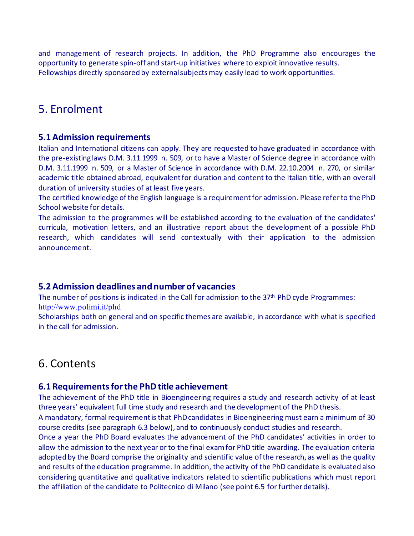and management of research projects. In addition, the PhD Programme also encourages the opportunity to generate spin-off and start-up initiatives where to exploit innovative results. Fellowships directly sponsored by external subjects may easily lead to work opportunities.

# 5. Enrolment

### **5.1 Admission requirements**

Italian and International citizens can apply. They are requested to have graduated in accordance with the pre-existing laws D.M. 3.11.1999 n. 509, or to have a Master of Science degree in accordance with D.M. 3.11.1999 n. 509, or a Master of Science in accordance with D.M. 22.10.2004 n. 270, or similar academic title obtained abroad, equivalent for duration and content to the Italian title, with an overall duration of university studies of at least five years.

The certified knowledge of the English language is a requirement for admission. Please refer to the PhD School website for details.

The admission to the programmes will be established according to the evaluation of the candidates' curricula, motivation letters, and an illustrative report about the development of a possible PhD research, which candidates will send contextually with their application to the admission announcement.

### **5.2 Admission deadlines and number of vacancies**

The number of positions is indicated in the Call for admission to the 37<sup>th</sup> PhD cycle Programmes: <http://www.polimi.it/phd>

Scholarships both on general and on specific themes are available, in accordance with what is specified in the call for admission.

# 6. Contents

### **6.1 Requirements for the PhD title achievement**

The achievement of the PhD title in Bioengineering requires a study and research activity of at least three years' equivalent full time study and research and the development of the PhD thesis.

A mandatory, formal requirement is that PhD candidates in Bioengineering must earn a minimum of 30 course credits (see paragraph 6.3 below), and to continuously conduct studies and research.

Once a year the PhD Board evaluates the advancement of the PhD candidates' activities in order to allow the admission to the next year or to the final exam for PhD title awarding. The evaluation criteria adopted by the Board comprise the originality and scientific value of the research, as well as the quality and results of the education programme. In addition, the activity of the PhD candidate is evaluated also considering quantitative and qualitative indicators related to scientific publications which must report the affiliation of the candidate to Politecnico di Milano (see point 6.5 for further details).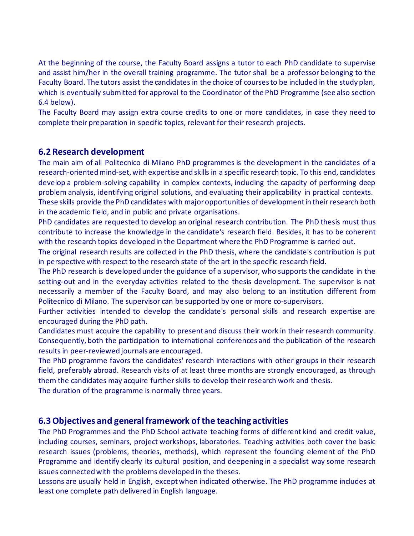At the beginning of the course, the Faculty Board assigns a tutor to each PhD candidate to supervise and assist him/her in the overall training programme. The tutor shall be a professor belonging to the Faculty Board. The tutors assist the candidates in the choice of courses to be included in the study plan, which is eventually submitted for approval to the Coordinator of the PhD Programme (see also section 6.4 below).

The Faculty Board may assign extra course credits to one or more candidates, in case they need to complete their preparation in specific topics, relevant for their research projects.

### **6.2 Research development**

The main aim of all Politecnico di Milano PhD programmes is the development in the candidates of a research-oriented mind-set, with expertise and skills in a specific research topic. To this end, candidates develop a problem-solving capability in complex contexts, including the capacity of performing deep problem analysis, identifying original solutions, and evaluating their applicability in practical contexts. These skills provide the PhD candidates with major opportunities of development in their research both in the academic field, and in public and private organisations.

PhD candidates are requested to develop an original research contribution. The PhD thesis must thus contribute to increase the knowledge in the candidate's research field. Besides, it has to be coherent with the research topics developed in the Department where the PhD Programme is carried out.

The original research results are collected in the PhD thesis, where the candidate's contribution is put in perspective with respect to the research state of the art in the specific research field.

The PhD research is developed under the guidance of a supervisor, who supports the candidate in the setting-out and in the everyday activities related to the thesis development. The supervisor is not necessarily a member of the Faculty Board, and may also belong to an institution different from Politecnico di Milano. The supervisor can be supported by one or more co-supervisors.

Further activities intended to develop the candidate's personal skills and research expertise are encouraged during the PhD path.

Candidates must acquire the capability to present and discuss their work in their research community. Consequently, both the participation to international conferences and the publication of the research results in peer-reviewed journals are encouraged.

The PhD programme favors the candidates' research interactions with other groups in their research field, preferably abroad. Research visits of at least three months are strongly encouraged, as through them the candidates may acquire further skills to develop their research work and thesis.

The duration of the programme is normally three years.

### **6.3 Objectives and general framework of the teaching activities**

The PhD Programmes and the PhD School activate teaching forms of different kind and credit value, including courses, seminars, project workshops, laboratories. Teaching activities both cover the basic research issues (problems, theories, methods), which represent the founding element of the PhD Programme and identify clearly its cultural position, and deepening in a specialist way some research issues connected with the problems developed in the theses.

Lessons are usually held in English, except when indicated otherwise. The PhD programme includes at least one complete path delivered in English language.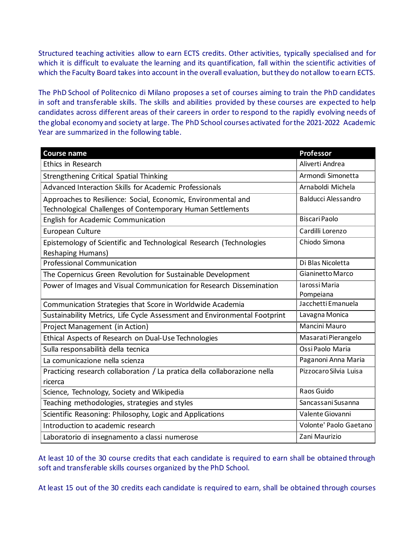Structured teaching activities allow to earn ECTS credits. Other activities, typically specialised and for which it is difficult to evaluate the learning and its quantification, fall within the scientific activities of which the Faculty Board takes into account in the overall evaluation, but they do not allow to earn ECTS.

The PhD School of Politecnico di Milano proposes a set of courses aiming to train the PhD candidates in soft and transferable skills. The skills and abilities provided by these courses are expected to help candidates across different areas of their careers in order to respond to the rapidly evolving needs of the global economy and society at large. The PhD School courses activated for the 2021-2022 Academic Year are summarized in the following table.

| <b>Course name</b>                                                                                                          | <b>Professor</b>           |
|-----------------------------------------------------------------------------------------------------------------------------|----------------------------|
| Ethics in Research                                                                                                          | Aliverti Andrea            |
| Strengthening Critical Spatial Thinking                                                                                     | Armondi Simonetta          |
| Advanced Interaction Skills for Academic Professionals                                                                      | Arnaboldi Michela          |
| Approaches to Resilience: Social, Economic, Environmental and<br>Technological Challenges of Contemporary Human Settlements | <b>Balducci Alessandro</b> |
| English for Academic Communication                                                                                          | <b>Biscari Paolo</b>       |
| European Culture                                                                                                            | Cardilli Lorenzo           |
| Epistemology of Scientific and Technological Research (Technologies<br>Reshaping Humans)                                    | Chiodo Simona              |
| <b>Professional Communication</b>                                                                                           | Di Blas Nicoletta          |
| The Copernicus Green Revolution for Sustainable Development                                                                 | Gianinetto Marco           |
| Power of Images and Visual Communication for Research Dissemination                                                         | Iarossi Maria<br>Pompeiana |
| Communication Strategies that Score in Worldwide Academia                                                                   | Jacchetti Emanuela         |
| Sustainability Metrics, Life Cycle Assessment and Environmental Footprint                                                   | Lavagna Monica             |
| Project Management (in Action)                                                                                              | Mancini Mauro              |
| Ethical Aspects of Research on Dual-Use Technologies                                                                        | Masarati Pierangelo        |
| Sulla responsabilità della tecnica                                                                                          | Ossi Paolo Maria           |
| La comunicazione nella scienza                                                                                              | Paganoni Anna Maria        |
| Practicing research collaboration / La pratica della collaborazione nella<br>ricerca                                        | Pizzocaro Silvia Luisa     |
| Science, Technology, Society and Wikipedia                                                                                  | Raos Guido                 |
| Teaching methodologies, strategies and styles                                                                               | Sancassani Susanna         |
| Scientific Reasoning: Philosophy, Logic and Applications                                                                    | Valente Giovanni           |
| Introduction to academic research                                                                                           | Volonte' Paolo Gaetano     |
| Laboratorio di insegnamento a classi numerose                                                                               | Zani Maurizio              |

At least 10 of the 30 course credits that each candidate is required to earn shall be obtained through soft and transferable skills courses organized by the PhD School.

At least 15 out of the 30 credits each candidate is required to earn, shall be obtained through courses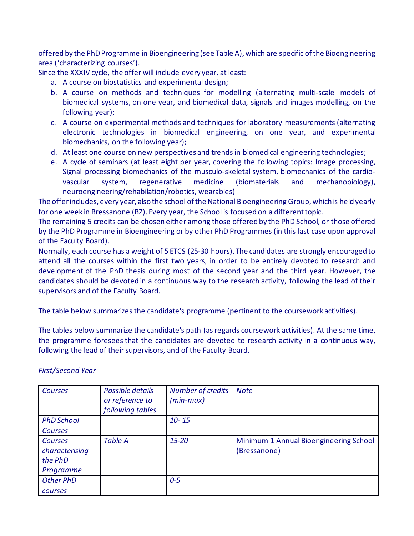offered by the PhD Programme in Bioengineering (see Table A), which are specific of the Bioengineering area ('characterizing courses').

Since the XXXIV cycle, the offer will include every year, at least:

- a. A course on biostatistics and experimental design;
- b. A course on methods and techniques for modelling (alternating multi-scale models of biomedical systems, on one year, and biomedical data, signals and images modelling, on the following year);
- c. A course on experimental methods and techniques for laboratory measurements (alternating electronic technologies in biomedical engineering, on one year, and experimental biomechanics, on the following year);
- d. At least one course on new perspectives and trends in biomedical engineering technologies;
- e. A cycle of seminars (at least eight per year, covering the following topics: Image processing, Signal processing biomechanics of the musculo-skeletal system, biomechanics of the cardiovascular system, regenerative medicine (biomaterials and mechanobiology), neuroengineering/rehabilation/robotics, wearables)

The offerincludes, every year, also the school of the National Bioengineering Group, which is held yearly for one week in Bressanone (BZ). Every year, the School is focused on a different topic.

The remaining 5 credits can be chosen either among those offered by the PhD School, or those offered by the PhD Programme in Bioengineering or by other PhD Programmes (in this last case upon approval of the Faculty Board).

Normally, each course has a weight of 5 ETCS (25-30 hours). The candidates are strongly encouraged to attend all the courses within the first two years, in order to be entirely devoted to research and development of the PhD thesis during most of the second year and the third year. However, the candidates should be devoted in a continuous way to the research activity, following the lead of their supervisors and of the Faculty Board.

The table below summarizes the candidate's programme (pertinent to the coursework activities).

The tables below summarize the candidate's path (as regards coursework activities). At the same time, the programme foresees that the candidates are devoted to research activity in a continuous way, following the lead of their supervisors, and of the Faculty Board.

| <b>Courses</b>                                    | Possible details<br>or reference to<br>following tables | <b>Number of credits</b><br>$(min-max)$ | <b>Note</b>                                            |
|---------------------------------------------------|---------------------------------------------------------|-----------------------------------------|--------------------------------------------------------|
| <b>PhD School</b>                                 |                                                         | $10 - 15$                               |                                                        |
| <b>Courses</b>                                    |                                                         |                                         |                                                        |
| Courses<br>characterising<br>the PhD<br>Programme | <b>Table A</b>                                          | $15 - 20$                               | Minimum 1 Annual Bioengineering School<br>(Bressanone) |
| <b>Other PhD</b>                                  |                                                         | $0 - 5$                                 |                                                        |
| courses                                           |                                                         |                                         |                                                        |

*First/Second Year*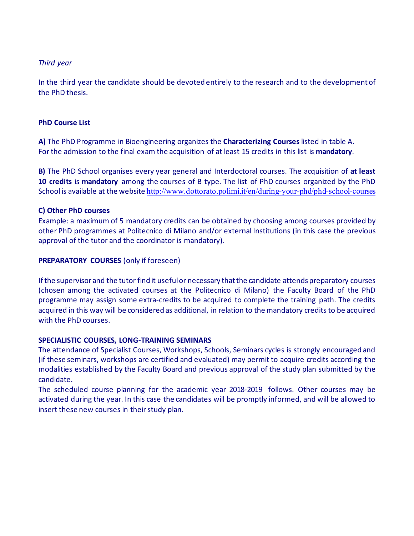#### *Third year*

In the third year the candidate should be devoted entirely to the research and to the development of the PhD thesis.

#### **PhD Course List**

**A)** The PhD Programme in Bioengineering organizes the **Characterizing Courses** listed in table A. For the admission to the final exam the acquisition of at least 15 credits in this list is **mandatory**.

**B)** The PhD School organises every year general and Interdoctoral courses. The acquisition of **at least 10 credits** is **mandatory** among the courses of B type*.* The list of PhD courses organized by the PhD School is available at the website <http://www.dottorato.polimi.it/en/during-your-phd/phd-school-courses>

#### **C) Other PhD courses**

Example: a maximum of 5 mandatory credits can be obtained by choosing among courses provided by other PhD programmes at Politecnico di Milano and/or external Institutions (in this case the previous approval of the tutor and the coordinator is mandatory).

#### **PREPARATORY COURSES** (only if foreseen)

If the supervisor and the tutor find it useful or necessary that the candidate attends preparatory courses (chosen among the activated courses at the Politecnico di Milano) the Faculty Board of the PhD programme may assign some extra-credits to be acquired to complete the training path. The credits acquired in this way will be considered as additional, in relation to the mandatory credits to be acquired with the PhD courses.

#### **SPECIALISTIC COURSES, LONG-TRAINING SEMINARS**

The attendance of Specialist Courses, Workshops, Schools, Seminars cycles is strongly encouraged and (if these seminars, workshops are certified and evaluated) may permit to acquire credits according the modalities established by the Faculty Board and previous approval of the study plan submitted by the candidate.

The scheduled course planning for the academic year 2018-2019 follows. Other courses may be activated during the year. In this case the candidates will be promptly informed, and will be allowed to insert these new courses in their study plan.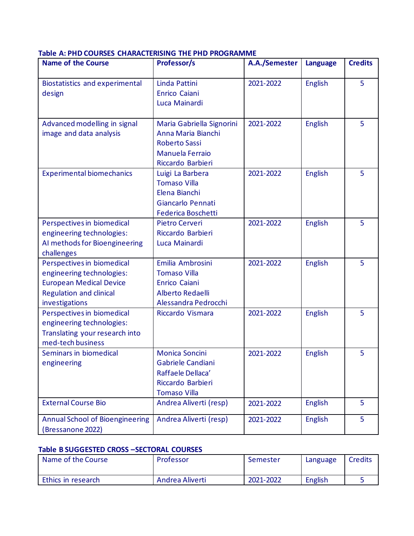#### **Table A: PHD COURSES CHARACTERISING THE PHD PROGRAMME**

| <b>Name of the Course</b>                                                                                                                     | Professor/s                                                                                                     | A.A./Semester | <b>Language</b> | <b>Credits</b> |
|-----------------------------------------------------------------------------------------------------------------------------------------------|-----------------------------------------------------------------------------------------------------------------|---------------|-----------------|----------------|
| <b>Biostatistics and experimental</b><br>design                                                                                               | Linda Pattini<br>Enrico Caiani<br>Luca Mainardi                                                                 | 2021-2022     | <b>English</b>  | 5              |
| Advanced modelling in signal<br>image and data analysis                                                                                       | Maria Gabriella Signorini<br>Anna Maria Bianchi<br><b>Roberto Sassi</b><br>Manuela Ferraio<br>Riccardo Barbieri | 2021-2022     | <b>English</b>  | 5              |
| <b>Experimental biomechanics</b>                                                                                                              | Luigi La Barbera<br><b>Tomaso Villa</b><br>Elena Bianchi<br>Giancarlo Pennati<br><b>Federica Boschetti</b>      | 2021-2022     | <b>English</b>  | 5              |
| Perspectives in biomedical<br>engineering technologies:<br>AI methods for Bioengineering<br>challenges                                        | Pietro Cerveri<br>Riccardo Barbieri<br>Luca Mainardi                                                            | 2021-2022     | <b>English</b>  | 5              |
| Perspectives in biomedical<br>engineering technologies:<br><b>European Medical Device</b><br><b>Regulation and clinical</b><br>investigations | Emilia Ambrosini<br><b>Tomaso Villa</b><br>Enrico Caiani<br>Alberto Redaelli<br>Alessandra Pedrocchi            | 2021-2022     | <b>English</b>  | 5              |
| Perspectives in biomedical<br>engineering technologies:<br>Translating your research into<br>med-tech business                                | Riccardo Vismara                                                                                                | 2021-2022     | <b>English</b>  | 5              |
| Seminars in biomedical<br>engineering                                                                                                         | Monica Soncini<br>Gabriele Candiani<br>Raffaele Dellaca'<br>Riccardo Barbieri<br><b>Tomaso Villa</b>            | 2021-2022     | <b>English</b>  | 5              |
| <b>External Course Bio</b>                                                                                                                    | Andrea Aliverti (resp)                                                                                          | 2021-2022     | <b>English</b>  | 5              |
| <b>Annual School of Bioengineering</b><br>Bressanone 2022)                                                                                    | Andrea Aliverti (resp)                                                                                          | 2021-2022     | <b>English</b>  | 5              |

#### **Table B SUGGESTED CROSS –SECTORAL COURSES**

| Name of the Course | Professor       | Semester  | Language | Credits |
|--------------------|-----------------|-----------|----------|---------|
| Ethics in research | Andrea Aliverti | 2021-2022 | English  |         |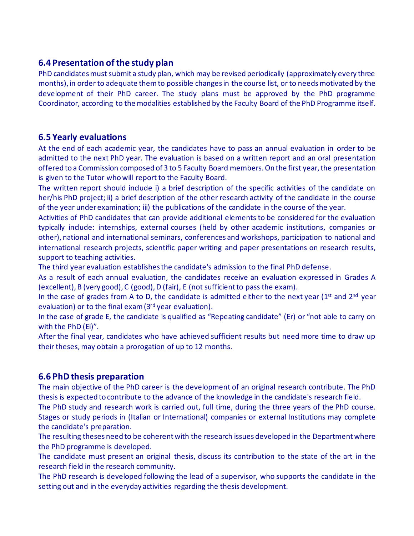### **6.4 Presentation of the study plan**

PhD candidates must submit a study plan, which may be revised periodically (approximately every three months), in order to adequate them to possible changes in the course list, or to needs motivated by the development of their PhD career. The study plans must be approved by the PhD programme Coordinator, according to the modalities established by the Faculty Board of the PhD Programme itself.

### **6.5 Yearly evaluations**

At the end of each academic year, the candidates have to pass an annual evaluation in order to be admitted to the next PhD year. The evaluation is based on a written report and an oral presentation offered to a Commission composed of 3 to 5 Faculty Board members. On the first year, the presentation is given to the Tutor who will report to the Faculty Board.

The written report should include i) a brief description of the specific activities of the candidate on her/his PhD project; ii) a brief description of the other research activity of the candidate in the course of the year under examination; iii) the publications of the candidate in the course of the year.

Activities of PhD candidates that can provide additional elements to be considered for the evaluation typically include: internships, external courses (held by other academic institutions, companies or other), national and international seminars, conferences and workshops, participation to national and international research projects, scientific paper writing and paper presentations on research results, support to teaching activities.

The third year evaluation establishes the candidate's admission to the final PhD defense.

As a result of each annual evaluation, the candidates receive an evaluation expressed in Grades A (excellent), B (very good), C (good), D (fair), E (not sufficient to pass the exam).

In the case of grades from A to D, the candidate is admitted either to the next year ( $1<sup>st</sup>$  and  $2<sup>nd</sup>$  year evaluation) or to the final exam (3<sup>rd</sup> year evaluation).

In the case of grade E, the candidate is qualified as "Repeating candidate" (Er) or "not able to carry on with the PhD (Ei)".

After the final year, candidates who have achieved sufficient results but need more time to draw up their theses, may obtain a prorogation of up to 12 months.

### **6.6 PhD thesis preparation**

The main objective of the PhD career is the development of an original research contribute. The PhD thesis is expected to contribute to the advance of the knowledge in the candidate's research field.

The PhD study and research work is carried out, full time, during the three years of the PhD course. Stages or study periods in (Italian or International) companies or external Institutions may complete the candidate's preparation.

The resulting theses need to be coherent with the research issues developed in the Department where the PhD programme is developed.

The candidate must present an original thesis, discuss its contribution to the state of the art in the research field in the research community.

The PhD research is developed following the lead of a supervisor, who supports the candidate in the setting out and in the everyday activities regarding the thesis development.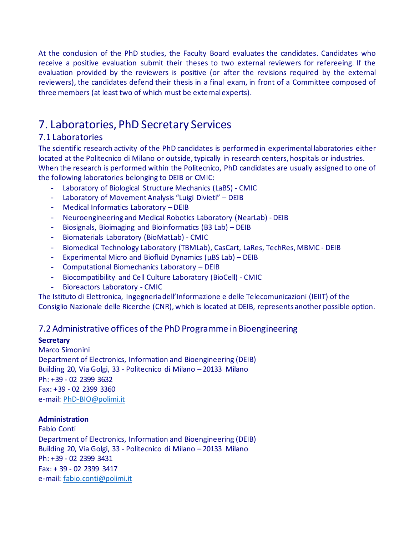At the conclusion of the PhD studies, the Faculty Board evaluates the candidates. Candidates who receive a positive evaluation submit their theses to two external reviewers for refereeing. If the evaluation provided by the reviewers is positive (or after the revisions required by the external reviewers), the candidates defend their thesis in a final exam, in front of a Committee composed of three members (at least two of which must be external experts).

# 7. Laboratories, PhD Secretary Services

### 7.1 Laboratories

The scientific research activity of the PhD candidates is performed in experimental laboratories either located at the Politecnico di Milano or outside, typically in research centers, hospitals or industries. When the research is performed within the Politecnico, PhD candidates are usually assigned to one of the following laboratories belonging to DEIB or CMIC:

- Laboratory of Biological Structure Mechanics (LaBS) CMIC
- Laboratory of Movement Analysis "Luigi Divieti" DEIB
- Medical Informatics Laboratory DEIB
- Neuroengineering and Medical Robotics Laboratory (NearLab) DEIB
- Biosignals, Bioimaging and Bioinformatics (B3 Lab) DEIB
- Biomaterials Laboratory (BioMatLab) CMIC
- Biomedical Technology Laboratory (TBMLab), CasCart, LaRes, TechRes, MBMC DEIB
- Experimental Micro and Biofluid Dynamics (µBS Lab) DEIB
- Computational Biomechanics Laboratory DEIB
- Biocompatibility and Cell Culture Laboratory (BioCell) CMIC
- Bioreactors Laboratory CMIC

The Istituto di Elettronica, Ingegneria dell'Informazione e delle Telecomunicazioni (IEIIT) of the Consiglio Nazionale delle Ricerche (CNR), which is located at DEIB, represents another possible option.

### 7.2 Administrative offices of the PhD Programme in Bioengineering

#### **Secretary**

Marco Simonini Department of Electronics, Information and Bioengineering (DEIB) Building 20, Via Golgi, 33 - Politecnico di Milano – 20133 Milano Ph: +39 - 02 2399 3632 Fax: +39 - 02 2399 3360 e-mail: [PhD-BIO@polimi.it](mailto:PhD-BIO@polimi.it)

#### **Administration**

Fabio Conti Department of Electronics, Information and Bioengineering (DEIB) Building 20, Via Golgi, 33 - Politecnico di Milano – 20133 Milano Ph: +39 - 02 2399 3431 Fax: + 39 - 02 2399 3417 e-mail: [fabio.conti@polimi.it](mailto:fabio.conti@polimi.it)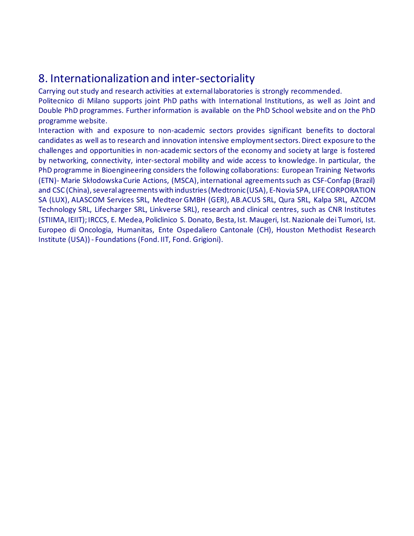# 8. Internationalization and inter-sectoriality

Carrying out study and research activities at external laboratories is strongly recommended. Politecnico di Milano supports joint PhD paths with International Institutions, as well as Joint and Double PhD programmes. Further information is available on the PhD School website and on the PhD programme website.

Interaction with and exposure to non-academic sectors provides significant benefits to doctoral candidates as well as to research and innovation intensive employment sectors. Direct exposure to the challenges and opportunities in non-academic sectors of the economy and society at large is fostered by networking, connectivity, inter-sectoral mobility and wide access to knowledge. In particular, the PhD programme in Bioengineering considers the following collaborations: European Training Networks (ETN)- Marie Skłodowska Curie Actions, (MSCA), international agreements such as CSF-Confap (Brazil) and CSC (China), several agreements with industries (Medtronic (USA), E-Novia SPA, LIFE CORPORATION SA (LUX), ALASCOM Services SRL, Medteor GMBH (GER), AB.ACUS SRL, Qura SRL, Kalpa SRL, AZCOM Technology SRL, Lifecharger SRL, Linkverse SRL), research and clinical centres, such as CNR Institutes (STIIMA, IEIIT); IRCCS, E. Medea, Policlinico S. Donato, Besta, Ist. Maugeri, Ist. Nazionale dei Tumori, Ist. Europeo di Oncologia, Humanitas, Ente Ospedaliero Cantonale (CH), Houston Methodist Research Institute (USA)) - Foundations (Fond. IIT, Fond. Grigioni).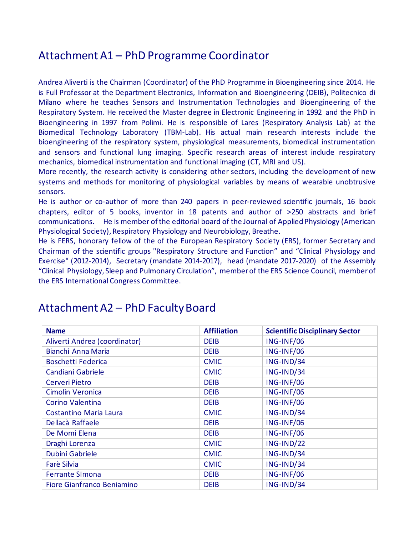## Attachment A1 – PhD Programme Coordinator

Andrea Aliverti is the Chairman (Coordinator) of the PhD Programme in Bioengineering since 2014. He is Full Professor at the Department Electronics, Information and Bioengineering (DEIB), Politecnico di Milano where he teaches Sensors and Instrumentation Technologies and Bioengineering of the Respiratory System. He received the Master degree in Electronic Engineering in 1992 and the PhD in Bioengineering in 1997 from Polimi. He is responsible of Lares (Respiratory Analysis Lab) at the Biomedical Technology Laboratory (TBM-Lab). His actual main research interests include the bioengineering of the respiratory system, physiological measurements, biomedical instrumentation and sensors and functional lung imaging. Specific research areas of interest include respiratory mechanics, biomedical instrumentation and functional imaging (CT, MRI and US).

More recently, the research activity is considering other sectors, including the development of new systems and methods for monitoring of physiological variables by means of wearable unobtrusive sensors.

He is author or co-author of more than 240 papers in peer-reviewed scientific journals, 16 book chapters, editor of 5 books, inventor in 18 patents and author of >250 abstracts and brief communications. He is member of the editorial board of the Journal of Applied Physiology (American Physiological Society), Respiratory Physiology and Neurobiology, Breathe.

He is FERS, honorary fellow of the of the European Respiratory Society (ERS), former Secretary and Chairman of the scientific groups "Respiratory Structure and Function" and "Clinical Physiology and Exercise" (2012-2014), Secretary (mandate 2014-2017), head (mandate 2017-2020) of the Assembly "Clinical Physiology, Sleep and Pulmonary Circulation", member of the ERS Science Council, member of the ERS International Congress Committee.

| <b>Name</b>                   | <b>Affiliation</b> | <b>Scientific Disciplinary Sector</b> |
|-------------------------------|--------------------|---------------------------------------|
| Aliverti Andrea (coordinator) | <b>DEIB</b>        | ING-INF/06                            |
| Bianchi Anna Maria            | <b>DEIB</b>        | ING-INF/06                            |
| <b>Boschetti Federica</b>     | <b>CMIC</b>        | ING-IND/34                            |
| Candiani Gabriele             | <b>CMIC</b>        | ING-IND/34                            |
| <b>Cerveri Pietro</b>         | <b>DEIB</b>        | ING-INF/06                            |
| Cimolin Veronica              | <b>DEIB</b>        | ING-INF/06                            |
| Corino Valentina              | <b>DEIB</b>        | ING-INF/06                            |
| Costantino Maria Laura        | <b>CMIC</b>        | ING-IND/34                            |
| Dellacà Raffaele              | <b>DEIB</b>        | ING-INF/06                            |
| De Momi Elena                 | <b>DEIB</b>        | ING-INF/06                            |
| Draghi Lorenza                | <b>CMIC</b>        | ING-IND/22                            |
| Dubini Gabriele               | <b>CMIC</b>        | ING-IND/34                            |
| Farè Silvia                   | <b>CMIC</b>        | ING-IND/34                            |
| <b>Ferrante SImona</b>        | <b>DEIB</b>        | ING-INF/06                            |
| Fiore Gianfranco Beniamino    | <b>DEIB</b>        | ING-IND/34                            |

# Attachment A2 – PhD Faculty Board